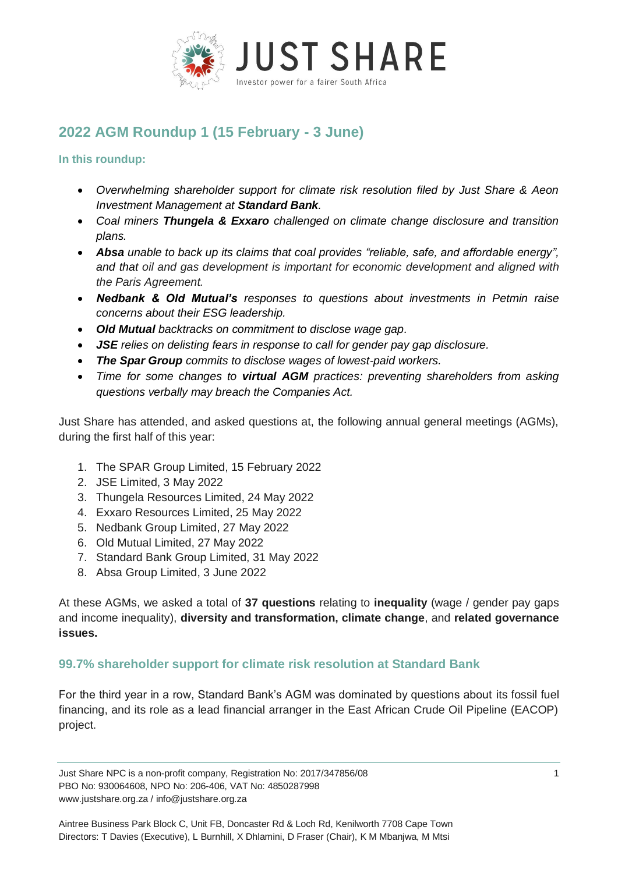

# **2022 AGM Roundup 1 (15 February - 3 June)**

**In this roundup:** 

- *Overwhelming shareholder support for climate risk resolution filed by Just Share & Aeon Investment Management at Standard Bank.*
- *Coal miners Thungela & Exxaro challenged on climate change disclosure and transition plans.*
- *Absa unable to back up its claims that coal provides "reliable, safe, and affordable energy", and that oil and gas development is important for economic development and aligned with the Paris Agreement.*
- *Nedbank & Old Mutual's responses to questions about investments in Petmin raise concerns about their ESG leadership.*
- *Old Mutual backtracks on commitment to disclose wage gap.*
- *JSE relies on delisting fears in response to call for gender pay gap disclosure.*
- *The Spar Group commits to disclose wages of lowest-paid workers.*
- *Time for some changes to virtual AGM practices: preventing shareholders from asking questions verbally may breach the Companies Act.*

Just Share has attended, and asked questions at, the following annual general meetings (AGMs), during the first half of this year:

- 1. The SPAR Group Limited, 15 February 2022
- 2. JSE Limited, 3 May 2022
- 3. Thungela Resources Limited, 24 May 2022
- 4. Exxaro Resources Limited, 25 May 2022
- 5. Nedbank Group Limited, 27 May 2022
- 6. Old Mutual Limited, 27 May 2022
- 7. Standard Bank Group Limited, 31 May 2022
- 8. Absa Group Limited, 3 June 2022

At these AGMs, we asked a total of **37 questions** relating to **inequality** (wage / gender pay gaps and income inequality), **diversity and transformation, climate change**, and **related governance issues.**

# **99.7% shareholder support for climate risk resolution at Standard Bank**

For the third year in a row, Standard Bank's AGM was dominated by questions about its fossil fuel financing, and its role as a lead financial arranger in the East African Crude Oil Pipeline (EACOP) project.

Just Share NPC is a non-profit company, Registration No: 2017/347856/08 1 PBO No: 930064608, NPO No: 206-406, VAT No: 4850287998 www.justshare.org.za / info@justshare.org.za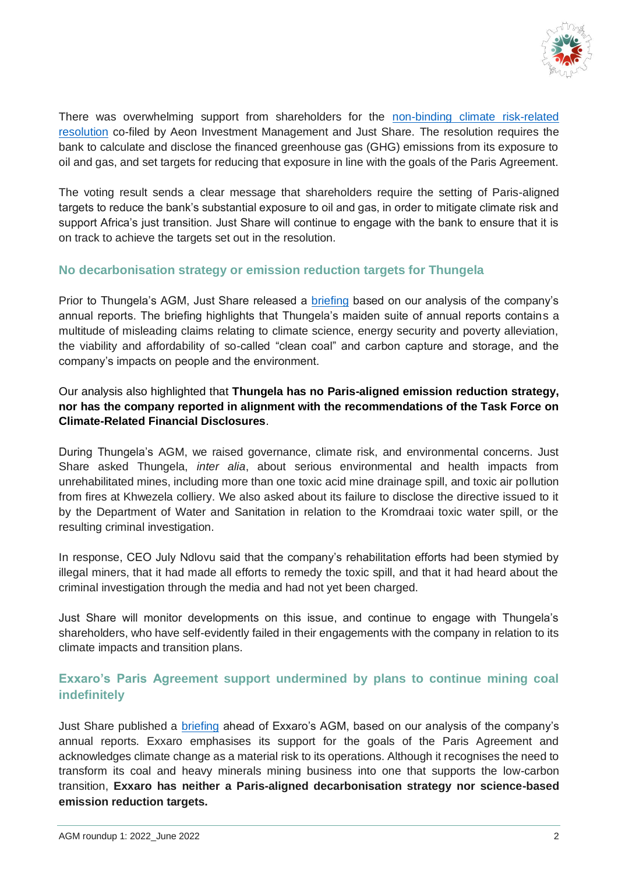

There was overwhelming support from shareholders for the non-binding climate risk-related [resolution](https://justshare.org.za/media/news/standard-bank-climate-change-shareholder-resolution-2022-climate-policy-analysis) co-filed by Aeon Investment Management and Just Share. The resolution requires the bank to calculate and disclose the financed greenhouse gas (GHG) emissions from its exposure to oil and gas, and set targets for reducing that exposure in line with the goals of the Paris Agreement.

The voting result sends a clear message that shareholders require the setting of Paris-aligned targets to reduce the bank's substantial exposure to oil and gas, in order to mitigate climate risk and support Africa's just transition. Just Share will continue to engage with the bank to ensure that it is on track to achieve the targets set out in the resolution.

#### **No decarbonisation strategy or emission reduction targets for Thungela**

Prior to Thungela's AGM, Just Share released a [briefing](https://justshare.org.za/media/news/thungela-resources-limited-briefing-ahead-of-agm-on-24-may-2022) based on our analysis of the company's annual reports. The briefing highlights that Thungela's maiden suite of annual reports contains a multitude of misleading claims relating to climate science, energy security and poverty alleviation, the viability and affordability of so-called "clean coal" and carbon capture and storage, and the company's impacts on people and the environment.

### Our analysis also highlighted that **Thungela has no Paris-aligned emission reduction strategy, nor has the company reported in alignment with the recommendations of the Task Force on Climate-Related Financial Disclosures**.

During Thungela's AGM, we raised governance, climate risk, and environmental concerns. Just Share asked Thungela, *inter alia*, about serious environmental and health impacts from unrehabilitated mines, including more than one toxic acid mine drainage spill, and toxic air pollution from fires at Khwezela colliery. We also asked about its failure to disclose the directive issued to it by the Department of Water and Sanitation in relation to the Kromdraai toxic water spill, or the resulting criminal investigation.

In response, CEO July Ndlovu said that the company's rehabilitation efforts had been stymied by illegal miners, that it had made all efforts to remedy the toxic spill, and that it had heard about the criminal investigation through the media and had not yet been charged.

Just Share will monitor developments on this issue, and continue to engage with Thungela's shareholders, who have self-evidently failed in their engagements with the company in relation to its climate impacts and transition plans.

# **Exxaro's Paris Agreement support undermined by plans to continue mining coal indefinitely**

Just Share published a [briefing](https://justshare.org.za/media/news/exxaro-resources-limited-briefing-ahead-of-agm-on-25-may-2022) ahead of Exxaro's AGM, based on our analysis of the company's annual reports. Exxaro emphasises its support for the goals of the Paris Agreement and acknowledges climate change as a material risk to its operations. Although it recognises the need to transform its coal and heavy minerals mining business into one that supports the low-carbon transition, **Exxaro has neither a Paris-aligned decarbonisation strategy nor science-based emission reduction targets.**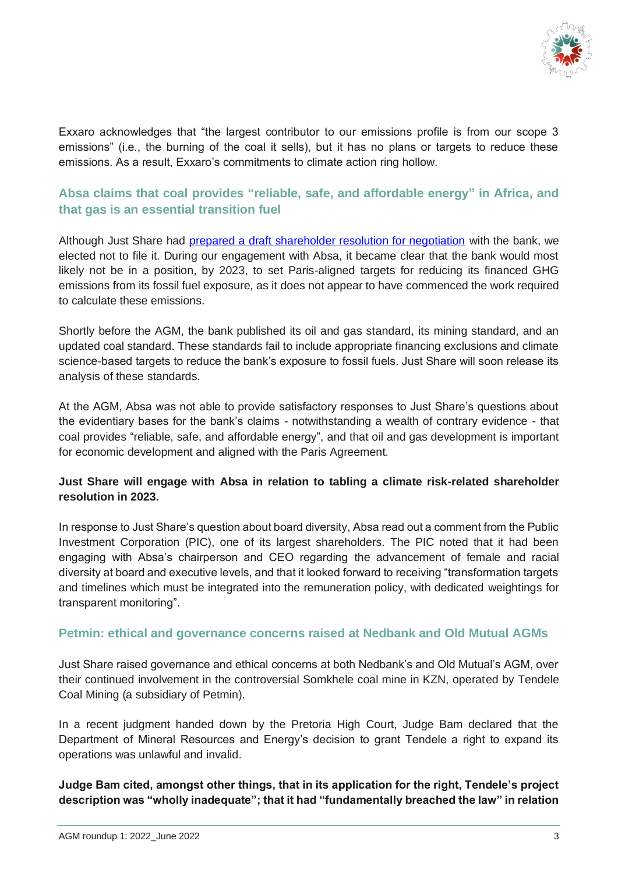

Exxaro acknowledges that "the largest contributor to our emissions profile is from our scope 3 emissions" (i.e., the burning of the coal it sells), but it has no plans or targets to reduce these emissions. As a result, Exxaro's commitments to climate action ring hollow.

# **Absa claims that coal provides "reliable, safe, and affordable energy" in Africa, and that gas is an essential transition fuel**

Although Just Share had [prepared a draft shareholder resolution for negotiation](https://justshare.org.za/media/news/absa-group-promises-oil-and-gas-policy-in-response-to-proposed-shareholder-resolution) with the bank, we elected not to file it. During our engagement with Absa, it became clear that the bank would most likely not be in a position, by 2023, to set Paris-aligned targets for reducing its financed GHG emissions from its fossil fuel exposure, as it does not appear to have commenced the work required to calculate these emissions.

Shortly before the AGM, the bank published its oil and gas standard, its mining standard, and an updated coal standard. These standards fail to include appropriate financing exclusions and climate science-based targets to reduce the bank's exposure to fossil fuels. Just Share will soon release its analysis of these standards.

At the AGM, Absa was not able to provide satisfactory responses to Just Share's questions about the evidentiary bases for the bank's claims - notwithstanding a wealth of contrary evidence - that coal provides "reliable, safe, and affordable energy", and that oil and gas development is important for economic development and aligned with the Paris Agreement.

#### **Just Share will engage with Absa in relation to tabling a climate risk-related shareholder resolution in 2023.**

In response to Just Share's question about board diversity, Absa read out a comment from the Public Investment Corporation (PIC), one of its largest shareholders. The PIC noted that it had been engaging with Absa's chairperson and CEO regarding the advancement of female and racial diversity at board and executive levels, and that it looked forward to receiving "transformation targets and timelines which must be integrated into the remuneration policy, with dedicated weightings for transparent monitoring".

# **Petmin: ethical and governance concerns raised at Nedbank and Old Mutual AGMs**

Just Share raised governance and ethical concerns at both Nedbank's and Old Mutual's AGM, over their continued involvement in the controversial Somkhele coal mine in KZN, operated by Tendele Coal Mining (a subsidiary of Petmin).

In a recent judgment handed down by the Pretoria High Court, Judge Bam declared that the Department of Mineral Resources and Energy's decision to grant Tendele a right to expand its operations was unlawful and invalid.

**Judge Bam cited, amongst other things, that in its application for the right, Tendele's project description was "wholly inadequate"; that it had "fundamentally breached the law" in relation**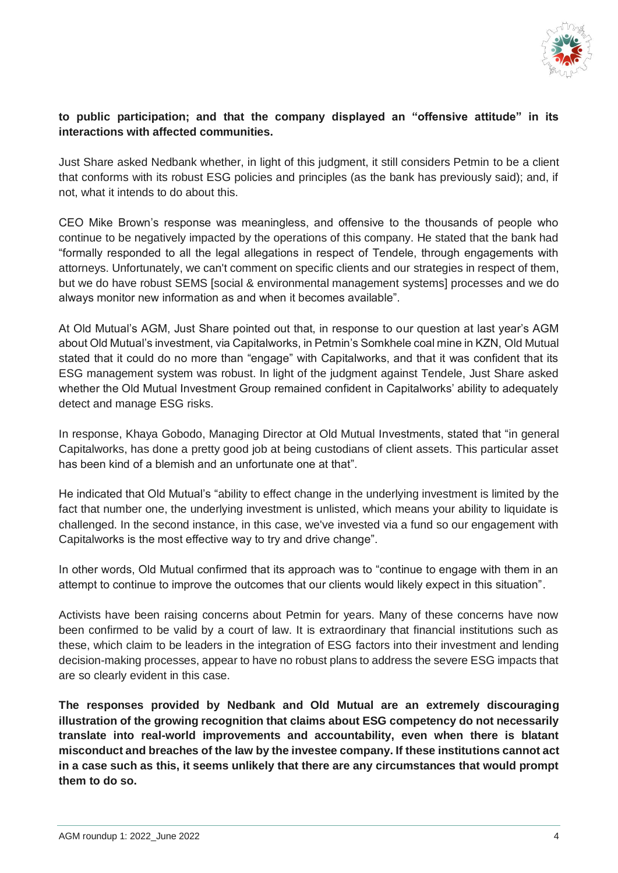

#### **to public participation; and that the company displayed an "offensive attitude" in its interactions with affected communities.**

Just Share asked Nedbank whether, in light of this judgment, it still considers Petmin to be a client that conforms with its robust ESG policies and principles (as the bank has previously said); and, if not, what it intends to do about this.

CEO Mike Brown's response was meaningless, and offensive to the thousands of people who continue to be negatively impacted by the operations of this company. He stated that the bank had "formally responded to all the legal allegations in respect of Tendele, through engagements with attorneys. Unfortunately, we can't comment on specific clients and our strategies in respect of them, but we do have robust SEMS [social & environmental management systems] processes and we do always monitor new information as and when it becomes available".

At Old Mutual's AGM, Just Share pointed out that, in response to our question at last year's AGM about Old Mutual's investment, via Capitalworks, in Petmin's Somkhele coal mine in KZN, Old Mutual stated that it could do no more than "engage" with Capitalworks, and that it was confident that its ESG management system was robust. In light of the judgment against Tendele, Just Share asked whether the Old Mutual Investment Group remained confident in Capitalworks' ability to adequately detect and manage ESG risks.

In response, Khaya Gobodo, Managing Director at Old Mutual Investments, stated that "in general Capitalworks, has done a pretty good job at being custodians of client assets. This particular asset has been kind of a blemish and an unfortunate one at that".

He indicated that Old Mutual's "ability to effect change in the underlying investment is limited by the fact that number one, the underlying investment is unlisted, which means your ability to liquidate is challenged. In the second instance, in this case, we've invested via a fund so our engagement with Capitalworks is the most effective way to try and drive change".

In other words, Old Mutual confirmed that its approach was to "continue to engage with them in an attempt to continue to improve the outcomes that our clients would likely expect in this situation".

Activists have been raising concerns about Petmin for years. Many of these concerns have now been confirmed to be valid by a court of law. It is extraordinary that financial institutions such as these, which claim to be leaders in the integration of ESG factors into their investment and lending decision-making processes, appear to have no robust plans to address the severe ESG impacts that are so clearly evident in this case.

**The responses provided by Nedbank and Old Mutual are an extremely discouraging illustration of the growing recognition that claims about ESG competency do not necessarily translate into real-world improvements and accountability, even when there is blatant misconduct and breaches of the law by the investee company. If these institutions cannot act in a case such as this, it seems unlikely that there are any circumstances that would prompt them to do so.**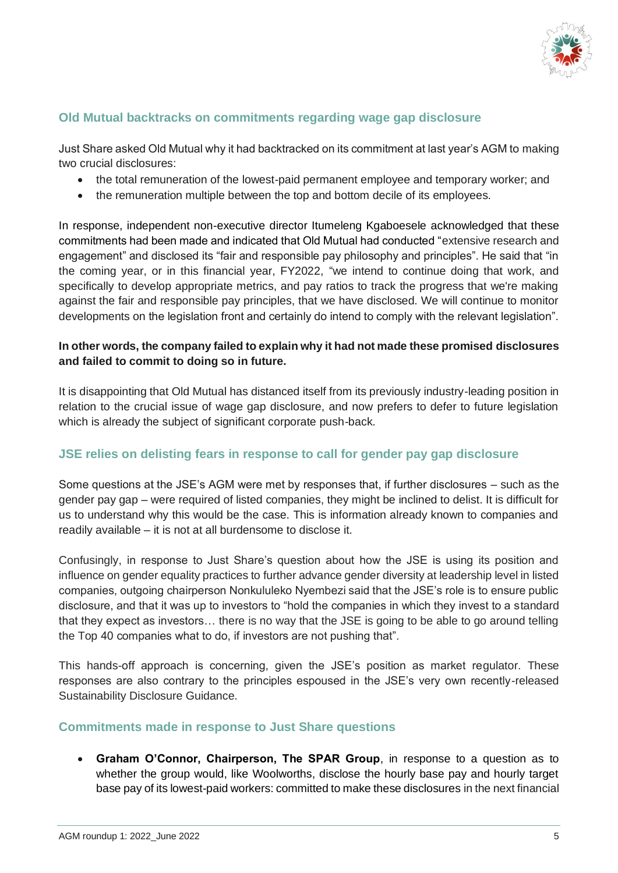

# **Old Mutual backtracks on commitments regarding wage gap disclosure**

Just Share asked Old Mutual why it had backtracked on its commitment at last year's AGM to making two crucial disclosures:

- the total remuneration of the lowest-paid permanent employee and temporary worker; and
- the remuneration multiple between the top and bottom decile of its employees.

In response, independent non-executive director Itumeleng Kgaboesele acknowledged that these commitments had been made and indicated that Old Mutual had conducted "extensive research and engagement" and disclosed its "fair and responsible pay philosophy and principles". He said that "in the coming year, or in this financial year, FY2022, "we intend to continue doing that work, and specifically to develop appropriate metrics, and pay ratios to track the progress that we're making against the fair and responsible pay principles, that we have disclosed. We will continue to monitor developments on the legislation front and certainly do intend to comply with the relevant legislation".

#### **In other words, the company failed to explain why it had not made these promised disclosures and failed to commit to doing so in future.**

It is disappointing that Old Mutual has distanced itself from its previously industry-leading position in relation to the crucial issue of wage gap disclosure, and now prefers to defer to future legislation which is already the subject of significant corporate push-back.

# **JSE relies on delisting fears in response to call for gender pay gap disclosure**

Some questions at the JSE's AGM were met by responses that, if further disclosures – such as the gender pay gap – were required of listed companies, they might be inclined to delist. It is difficult for us to understand why this would be the case. This is information already known to companies and readily available – it is not at all burdensome to disclose it.

Confusingly, in response to Just Share's question about how the JSE is using its position and influence on gender equality practices to further advance gender diversity at leadership level in listed companies, outgoing chairperson Nonkululeko Nyembezi said that the JSE's role is to ensure public disclosure, and that it was up to investors to "hold the companies in which they invest to a standard that they expect as investors… there is no way that the JSE is going to be able to go around telling the Top 40 companies what to do, if investors are not pushing that".

This hands-off approach is concerning, given the JSE's position as market regulator. These responses are also contrary to the principles espoused in the JSE's very own recently-released Sustainability Disclosure Guidance.

#### **Commitments made in response to Just Share questions**

• **Graham O'Connor, Chairperson, The SPAR Group**, in response to a question as to whether the group would, like Woolworths, disclose the hourly base pay and hourly target base pay of its lowest-paid workers: committed to make these disclosures in the next financial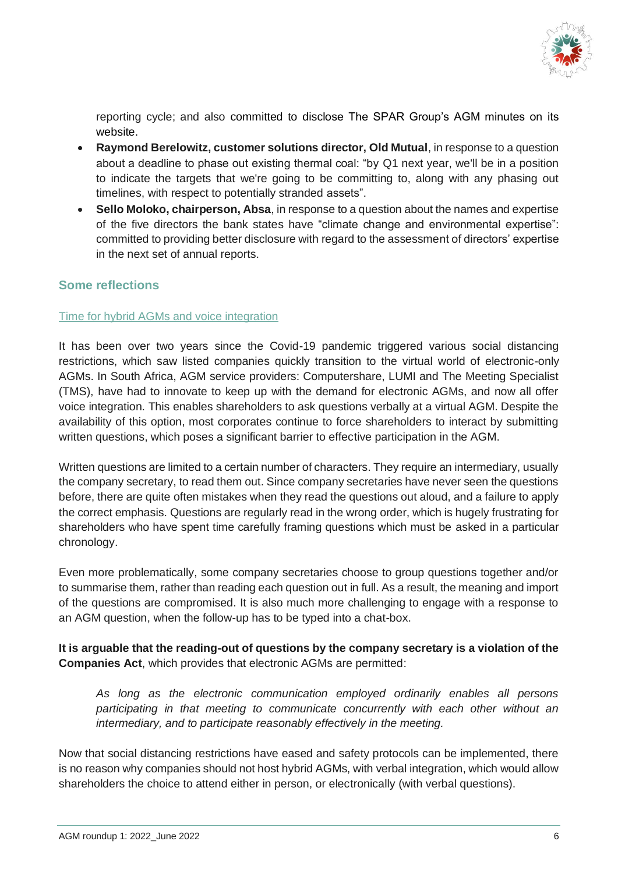

reporting cycle; and also committed to disclose The SPAR Group's AGM minutes on its website.

- **Raymond Berelowitz, customer solutions director, Old Mutual**, in response to a question about a deadline to phase out existing thermal coal: "by Q1 next year, we'll be in a position to indicate the targets that we're going to be committing to, along with any phasing out timelines, with respect to potentially stranded assets".
- **Sello Moloko, chairperson, Absa**, in response to a question about the names and expertise of the five directors the bank states have "climate change and environmental expertise": committed to providing better disclosure with regard to the assessment of directors' expertise in the next set of annual reports.

### **Some reflections**

#### Time for hybrid AGMs and voice integration

It has been over two years since the Covid-19 pandemic triggered various social distancing restrictions, which saw listed companies quickly transition to the virtual world of electronic-only AGMs. In South Africa, AGM service providers: Computershare, LUMI and The Meeting Specialist (TMS), have had to innovate to keep up with the demand for electronic AGMs, and now all offer voice integration. This enables shareholders to ask questions verbally at a virtual AGM. Despite the availability of this option, most corporates continue to force shareholders to interact by submitting written questions, which poses a significant barrier to effective participation in the AGM.

Written questions are limited to a certain number of characters. They require an intermediary, usually the company secretary, to read them out. Since company secretaries have never seen the questions before, there are quite often mistakes when they read the questions out aloud, and a failure to apply the correct emphasis. Questions are regularly read in the wrong order, which is hugely frustrating for shareholders who have spent time carefully framing questions which must be asked in a particular chronology.

Even more problematically, some company secretaries choose to group questions together and/or to summarise them, rather than reading each question out in full. As a result, the meaning and import of the questions are compromised. It is also much more challenging to engage with a response to an AGM question, when the follow-up has to be typed into a chat-box.

**It is arguable that the reading-out of questions by the company secretary is a violation of the Companies Act**, which provides that electronic AGMs are permitted:

*As long as the electronic communication employed ordinarily enables all persons participating in that meeting to communicate concurrently with each other without an intermediary, and to participate reasonably effectively in the meeting.*

Now that social distancing restrictions have eased and safety protocols can be implemented, there is no reason why companies should not host hybrid AGMs, with verbal integration, which would allow shareholders the choice to attend either in person, or electronically (with verbal questions).